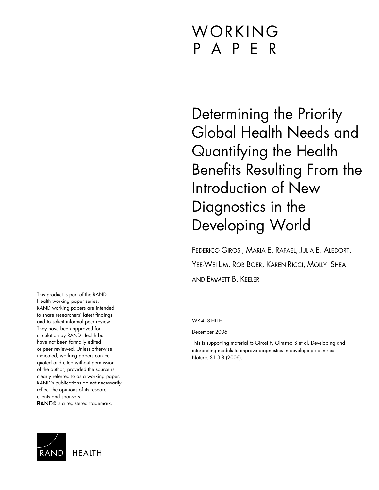# WORKING P A P E R

Determining the Priority Global Health Needs and Quantifying the Health Benefits Resulting From the Introduction of New Diagnostics in the Developing World

FEDERICO GIROSI, MARIA E. RAFAEL, JULIA E. ALEDORT, YEE-WEI LIM, ROB BOER, KAREN RICCI, MOLLY SHEA AND EMMETT B. KEELER

WR-418-HLTH

December 2006

This is supporting material to Girosi F, Olmsted S et al. Developing and interpreting models to improve diagnostics in developing countries. Nature. S1 3-8 (2006).

This product is part of the RAND Health working paper series. RAND working papers are intended to share researchers' latest findings and to solicit informal peer review. They have been approved for circulation by RAND Health but have not been formally edited or peer reviewed. Unless otherwise indicated, working papers can be quoted and cited without permission of the author, provided the source is clearly referred to as a working paper. RAND's publications do not necessarily reflect the opinions of its research clients and sponsors. RAND<sup>®</sup> is a registered trademark.

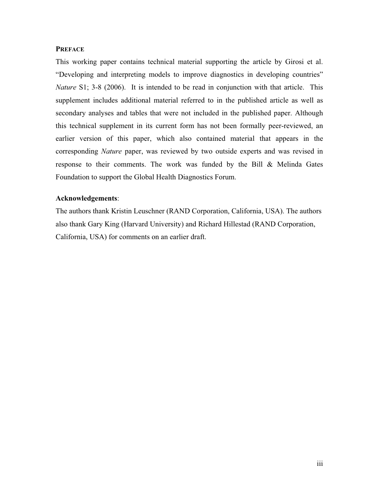#### **PREFACE**

This working paper contains technical material supporting the article by Girosi et al. "Developing and interpreting models to improve diagnostics in developing countries" *Nature* S1; 3-8 (2006). It is intended to be read in conjunction with that article. This supplement includes additional material referred to in the published article as well as secondary analyses and tables that were not included in the published paper. Although this technical supplement in its current form has not been formally peer-reviewed, an earlier version of this paper, which also contained material that appears in the corresponding *Nature* paper, was reviewed by two outside experts and was revised in response to their comments. The work was funded by the Bill & Melinda Gates Foundation to support the Global Health Diagnostics Forum.

#### **Acknowledgements**:

The authors thank Kristin Leuschner (RAND Corporation, California, USA). The authors also thank Gary King (Harvard University) and Richard Hillestad (RAND Corporation, California, USA) for comments on an earlier draft.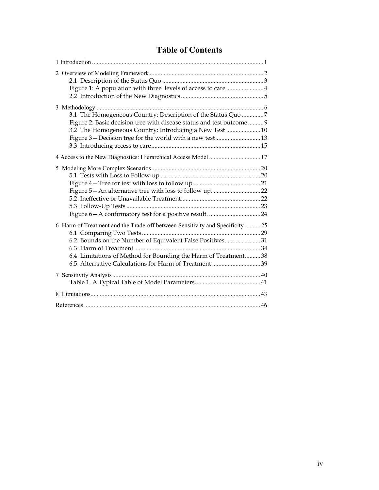# **Table of Contents**

| Figure 1: A population with three levels of access to care 4                                                                                                                                                                                                        |  |
|---------------------------------------------------------------------------------------------------------------------------------------------------------------------------------------------------------------------------------------------------------------------|--|
| 3.1 The Homogeneous Country: Description of the Status Quo 7<br>Figure 2: Basic decision tree with disease status and test outcome  9                                                                                                                               |  |
| 3.2 The Homogeneous Country: Introducing a New Test  10<br>Figure 3 – Decision tree for the world with a new test 13                                                                                                                                                |  |
| 4 Access to the New Diagnostics: Hierarchical Access Model  17                                                                                                                                                                                                      |  |
|                                                                                                                                                                                                                                                                     |  |
| 6 Harm of Treatment and the Trade-off between Sensitivity and Specificity 25<br>6.2 Bounds on the Number of Equivalent False Positives31<br>6.4 Limitations of Method for Bounding the Harm of Treatment38<br>6.5 Alternative Calculations for Harm of Treatment 39 |  |
|                                                                                                                                                                                                                                                                     |  |
|                                                                                                                                                                                                                                                                     |  |
|                                                                                                                                                                                                                                                                     |  |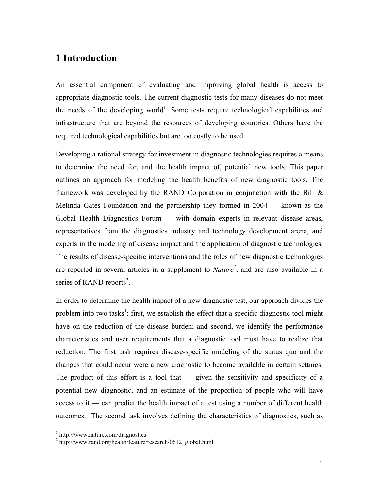# **1 Introduction**

An essential component of evaluating and improving global health is access to appropriate diagnostic tools. The current diagnostic tests for many diseases do not meet the needs of the developing world<sup>1</sup>. Some tests require technological capabilities and infrastructure that are beyond the resources of developing countries. Others have the required technological capabilities but are too costly to be used.

Developing a rational strategy for investment in diagnostic technologies requires a means to determine the need for, and the health impact of, potential new tools. This paper outlines an approach for modeling the health benefits of new diagnostic tools. The framework was developed by the RAND Corporation in conjunction with the Bill  $\&$ Melinda Gates Foundation and the partnership they formed in 2004 — known as the Global Health Diagnostics Forum — with domain experts in relevant disease areas, representatives from the diagnostics industry and technology development arena, and experts in the modeling of disease impact and the application of diagnostic technologies. The results of disease-specific interventions and the roles of new diagnostic technologies are reported in several articles in a supplement to *Nature<sup>1</sup>* , and are also available in a series of RAND reports<sup>2</sup>.

In order to determine the health impact of a new diagnostic test, our approach divides the problem into two tasks<sup>1</sup>: first, we establish the effect that a specific diagnostic tool might have on the reduction of the disease burden; and second, we identify the performance characteristics and user requirements that a diagnostic tool must have to realize that reduction. The first task requires disease-specific modeling of the status quo and the changes that could occur were a new diagnostic to become available in certain settings. The product of this effort is a tool that  $-$  given the sensitivity and specificity of a potential new diagnostic, and an estimate of the proportion of people who will have access to it — can predict the health impact of a test using a number of different health outcomes. The second task involves defining the characteristics of diagnostics, such as

 $\frac{1}{2}$  http://www.nature.com/diagnostics

 $h<sup>2</sup>$  http://www.rand.org/health/feature/research/0612\_global.html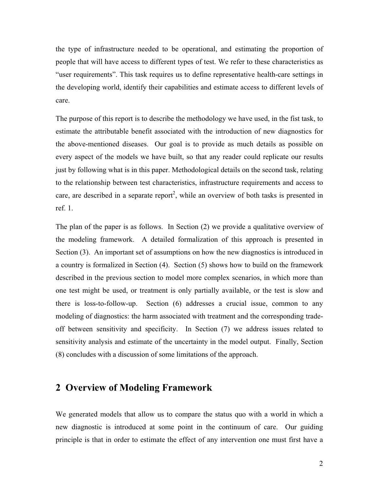the type of infrastructure needed to be operational, and estimating the proportion of people that will have access to different types of test. We refer to these characteristics as "user requirements". This task requires us to define representative health-care settings in the developing world, identify their capabilities and estimate access to different levels of care.

The purpose of this report is to describe the methodology we have used, in the fist task, to estimate the attributable benefit associated with the introduction of new diagnostics for the above-mentioned diseases. Our goal is to provide as much details as possible on every aspect of the models we have built, so that any reader could replicate our results just by following what is in this paper. Methodological details on the second task, relating to the relationship between test characteristics, infrastructure requirements and access to care, are described in a separate report<sup>2</sup>, while an overview of both tasks is presented in ref. 1.

The plan of the paper is as follows. In Section (2) we provide a qualitative overview of the modeling framework. A detailed formalization of this approach is presented in Section (3). An important set of assumptions on how the new diagnostics is introduced in a country is formalized in Section (4). Section (5) shows how to build on the framework described in the previous section to model more complex scenarios, in which more than one test might be used, or treatment is only partially available, or the test is slow and there is loss-to-follow-up. Section (6) addresses a crucial issue, common to any modeling of diagnostics: the harm associated with treatment and the corresponding tradeoff between sensitivity and specificity. In Section (7) we address issues related to sensitivity analysis and estimate of the uncertainty in the model output. Finally, Section (8) concludes with a discussion of some limitations of the approach.

# **2 Overview of Modeling Framework**

We generated models that allow us to compare the status quo with a world in which a new diagnostic is introduced at some point in the continuum of care. Our guiding principle is that in order to estimate the effect of any intervention one must first have a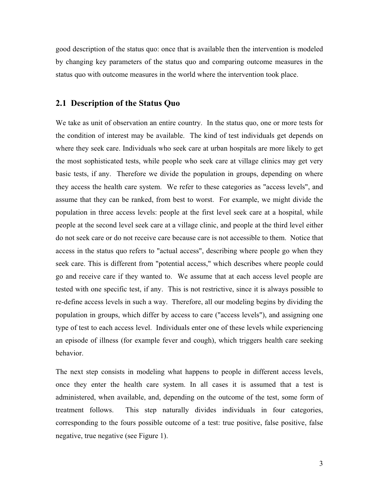good description of the status quo: once that is available then the intervention is modeled by changing key parameters of the status quo and comparing outcome measures in the status quo with outcome measures in the world where the intervention took place.

#### **2.1 Description of the Status Quo**

We take as unit of observation an entire country. In the status quo, one or more tests for the condition of interest may be available. The kind of test individuals get depends on where they seek care. Individuals who seek care at urban hospitals are more likely to get the most sophisticated tests, while people who seek care at village clinics may get very basic tests, if any. Therefore we divide the population in groups, depending on where they access the health care system. We refer to these categories as "access levels", and assume that they can be ranked, from best to worst. For example, we might divide the population in three access levels: people at the first level seek care at a hospital, while people at the second level seek care at a village clinic, and people at the third level either do not seek care or do not receive care because care is not accessible to them. Notice that access in the status quo refers to "actual access", describing where people go when they seek care. This is different from "potential access," which describes where people could go and receive care if they wanted to. We assume that at each access level people are tested with one specific test, if any. This is not restrictive, since it is always possible to re-define access levels in such a way. Therefore, all our modeling begins by dividing the population in groups, which differ by access to care ("access levels"), and assigning one type of test to each access level. Individuals enter one of these levels while experiencing an episode of illness (for example fever and cough), which triggers health care seeking behavior.

The next step consists in modeling what happens to people in different access levels, once they enter the health care system. In all cases it is assumed that a test is administered, when available, and, depending on the outcome of the test, some form of treatment follows. This step naturally divides individuals in four categories, corresponding to the fours possible outcome of a test: true positive, false positive, false negative, true negative (see Figure 1).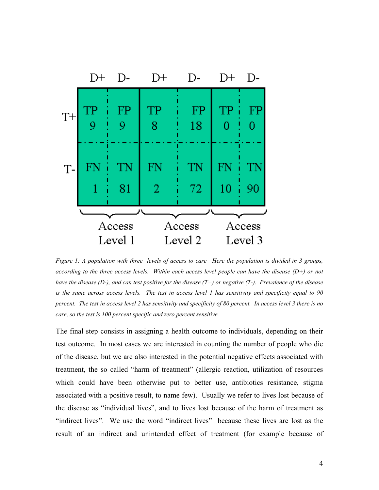

*Figure 1: A population with three levels of access to care—Here the population is divided in 3 groups, according to the three access levels. Within each access level people can have the disease (D+) or not have the disease (D-), and can test positive for the disease (T+) or negative (T-). Prevalence of the disease is the same across access levels. The test in access level 1 has sensitivity and specificity equal to 90 percent. The test in access level 2 has sensitivity and specificity of 80 percent. In access level 3 there is no care, so the test is 100 percent specific and zero percent sensitive.*

The final step consists in assigning a health outcome to individuals, depending on their test outcome. In most cases we are interested in counting the number of people who die of the disease, but we are also interested in the potential negative effects associated with treatment, the so called "harm of treatment" (allergic reaction, utilization of resources which could have been otherwise put to better use, antibiotics resistance, stigma associated with a positive result, to name few). Usually we refer to lives lost because of the disease as "individual lives", and to lives lost because of the harm of treatment as "indirect lives". We use the word "indirect lives" because these lives are lost as the result of an indirect and unintended effect of treatment (for example because of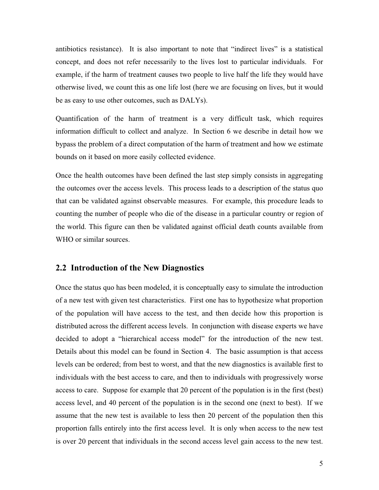antibiotics resistance). It is also important to note that "indirect lives" is a statistical concept, and does not refer necessarily to the lives lost to particular individuals. For example, if the harm of treatment causes two people to live half the life they would have otherwise lived, we count this as one life lost (here we are focusing on lives, but it would be as easy to use other outcomes, such as DALYs).

Quantification of the harm of treatment is a very difficult task, which requires information difficult to collect and analyze. In Section 6 we describe in detail how we bypass the problem of a direct computation of the harm of treatment and how we estimate bounds on it based on more easily collected evidence.

Once the health outcomes have been defined the last step simply consists in aggregating the outcomes over the access levels. This process leads to a description of the status quo that can be validated against observable measures. For example, this procedure leads to counting the number of people who die of the disease in a particular country or region of the world. This figure can then be validated against official death counts available from WHO or similar sources.

#### **2.2 Introduction of the New Diagnostics**

Once the status quo has been modeled, it is conceptually easy to simulate the introduction of a new test with given test characteristics. First one has to hypothesize what proportion of the population will have access to the test, and then decide how this proportion is distributed across the different access levels. In conjunction with disease experts we have decided to adopt a "hierarchical access model" for the introduction of the new test. Details about this model can be found in Section 4. The basic assumption is that access levels can be ordered; from best to worst, and that the new diagnostics is available first to individuals with the best access to care, and then to individuals with progressively worse access to care. Suppose for example that 20 percent of the population is in the first (best) access level, and 40 percent of the population is in the second one (next to best). If we assume that the new test is available to less then 20 percent of the population then this proportion falls entirely into the first access level. It is only when access to the new test is over 20 percent that individuals in the second access level gain access to the new test.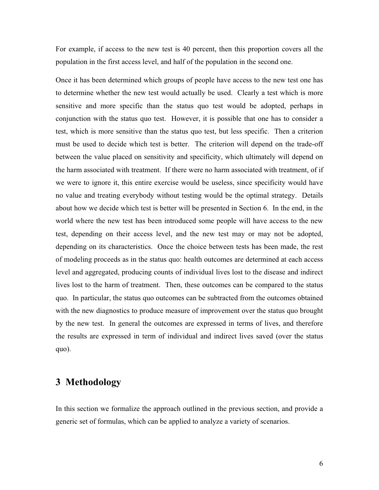For example, if access to the new test is 40 percent, then this proportion covers all the population in the first access level, and half of the population in the second one.

Once it has been determined which groups of people have access to the new test one has to determine whether the new test would actually be used. Clearly a test which is more sensitive and more specific than the status quo test would be adopted, perhaps in conjunction with the status quo test. However, it is possible that one has to consider a test, which is more sensitive than the status quo test, but less specific. Then a criterion must be used to decide which test is better. The criterion will depend on the trade-off between the value placed on sensitivity and specificity, which ultimately will depend on the harm associated with treatment. If there were no harm associated with treatment, of if we were to ignore it, this entire exercise would be useless, since specificity would have no value and treating everybody without testing would be the optimal strategy. Details about how we decide which test is better will be presented in Section 6. In the end, in the world where the new test has been introduced some people will have access to the new test, depending on their access level, and the new test may or may not be adopted, depending on its characteristics. Once the choice between tests has been made, the rest of modeling proceeds as in the status quo: health outcomes are determined at each access level and aggregated, producing counts of individual lives lost to the disease and indirect lives lost to the harm of treatment. Then, these outcomes can be compared to the status quo. In particular, the status quo outcomes can be subtracted from the outcomes obtained with the new diagnostics to produce measure of improvement over the status quo brought by the new test. In general the outcomes are expressed in terms of lives, and therefore the results are expressed in term of individual and indirect lives saved (over the status quo).

# **3 Methodology**

In this section we formalize the approach outlined in the previous section, and provide a generic set of formulas, which can be applied to analyze a variety of scenarios.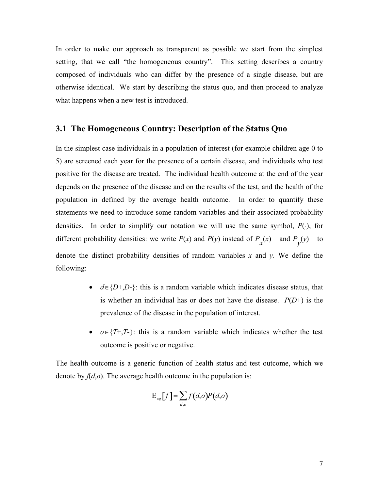In order to make our approach as transparent as possible we start from the simplest setting, that we call "the homogeneous country". This setting describes a country composed of individuals who can differ by the presence of a single disease, but are otherwise identical. We start by describing the status quo, and then proceed to analyze what happens when a new test is introduced.

#### **3.1 The Homogeneous Country: Description of the Status Quo**

In the simplest case individuals in a population of interest (for example children age 0 to 5) are screened each year for the presence of a certain disease, and individuals who test positive for the disease are treated. The individual health outcome at the end of the year depends on the presence of the disease and on the results of the test, and the health of the population in defined by the average health outcome. In order to quantify these statements we need to introduce some random variables and their associated probability densities. In order to simplify our notation we will use the same symbol,  $P(\cdot)$ , for different probability densities: we write *P*(*x*) and *P*(*y*) instead of  $P_x(x)$  and  $P_y(y)$  to denote the distinct probability densities of random variables *x* and *y*. We define the following:

- $d \in \{D^+, D^-\}$ : this is a random variable which indicates disease status, that is whether an individual has or does not have the disease. *P*(*D*+) is the prevalence of the disease in the population of interest.
- $o \in \{T^+, T^-\}$ : this is a random variable which indicates whether the test outcome is positive or negative.

The health outcome is a generic function of health status and test outcome, which we denote by  $f(d, o)$ . The average health outcome in the population is:

$$
\mathrm{E}_{sq}[f] = \sum_{d,o} f(d,o)P(d,o)
$$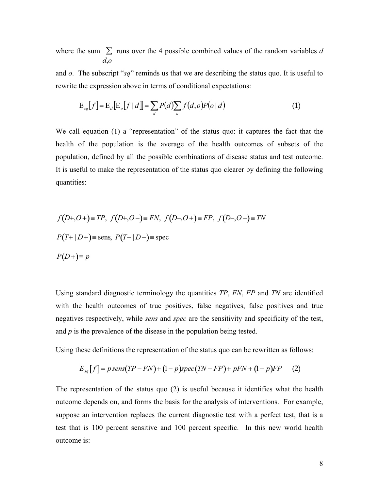where the sum  $\sum$  runs over the 4 possible combined values of the random variables *d d*,*o*

and *o*. The subscript "*sq*" reminds us that we are describing the status quo. It is useful to rewrite the expression above in terms of conditional expectations:

$$
\mathcal{E}_{sq}[f] = \mathcal{E}_d[\mathcal{E}_o[f \mid d]] = \sum_d P(d) \sum_o f(d, o) P(o \mid d)
$$
\n(1)

We call equation (1) a "representation" of the status quo: it captures the fact that the health of the population is the average of the health outcomes of subsets of the population, defined by all the possible combinations of disease status and test outcome. It is useful to make the representation of the status quo clearer by defining the following quantities:

$$
f(D+,O+) \equiv TP, \ f(D+,O-) \equiv FN, \ f(D-,O+) \equiv FP, \ f(D-,O-) \equiv TN
$$
  

$$
P(T+|D+) \equiv \text{sens}, \ P(T-|D-) \equiv \text{spec}
$$
  

$$
P(D+) \equiv p
$$

Using standard diagnostic terminology the quantities *TP*, *FN*, *FP* and *TN* are identified with the health outcomes of true positives, false negatives, false positives and true negatives respectively, while *sens* and *spec* are the sensitivity and specificity of the test, and *p* is the prevalence of the disease in the population being tested.

Using these definitions the representation of the status quo can be rewritten as follows:

$$
E_{sq}[f] = p \operatorname{sens}(TP - FN) + (1 - p) \operatorname{spec}(TN - FP) + pFN + (1 - p)FP \tag{2}
$$

The representation of the status quo (2) is useful because it identifies what the health outcome depends on, and forms the basis for the analysis of interventions. For example, suppose an intervention replaces the current diagnostic test with a perfect test, that is a test that is 100 percent sensitive and 100 percent specific. In this new world health outcome is: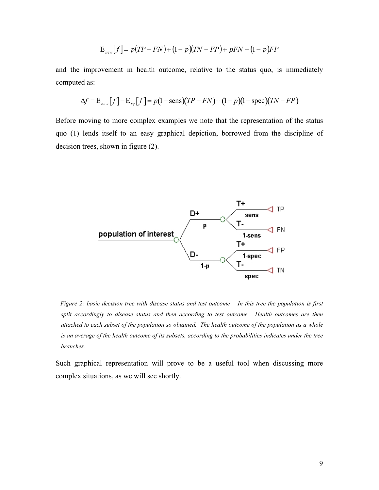$$
E_{new}[f] = p(TP - FN) + (1 - p)(TN - FP) + pFN + (1 - p)FP
$$

and the improvement in health outcome, relative to the status quo, is immediately computed as:

$$
\Delta f \equiv \mathbf{E}_{new}[f] - \mathbf{E}_{sq}[f] = p(1 - \text{sens})(TP - FN) + (1 - p)(1 - \text{spec})(TN - FP)
$$

Before moving to more complex examples we note that the representation of the status quo (1) lends itself to an easy graphical depiction, borrowed from the discipline of decision trees, shown in figure (2).



 *Figure 2: basic decision tree with disease status and test outcome— In this tree the population is first split accordingly to disease status and then according to test outcome. Health outcomes are then attached to each subset of the population so obtained. The health outcome of the population as a whole is an average of the health outcome of its subsets, according to the probabilities indicates under the tree branches.* 

Such graphical representation will prove to be a useful tool when discussing more complex situations, as we will see shortly.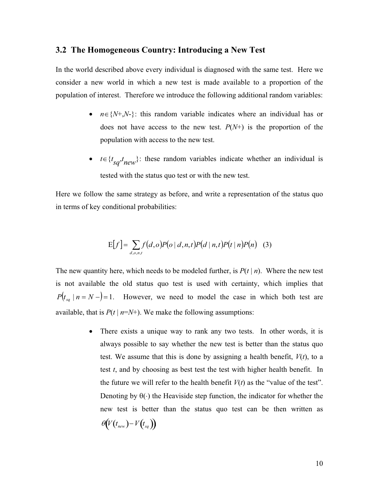#### **3.2 The Homogeneous Country: Introducing a New Test**

In the world described above every individual is diagnosed with the same test. Here we consider a new world in which a new test is made available to a proportion of the population of interest. Therefore we introduce the following additional random variables:

- $n \in \{N+,N-\}$ : this random variable indicates where an individual has or does not have access to the new test. *P*(*N*+) is the proportion of the population with access to the new test.
- $t \in \{t_{sq}, t_{new}\}$ : these random variables indicate whether an individual is tested with the status quo test or with the new test.

Here we follow the same strategy as before, and write a representation of the status quo in terms of key conditional probabilities:

$$
E[f] = \sum_{d,o,n,t} f(d,o)P(o|d,n,t)P(d|n,t)P(t|n)P(n) \quad (3)
$$

The new quantity here, which needs to be modeled further, is *P*(*t* | *n*). Where the new test is not available the old status quo test is used with certainty, which implies that  $P(t_{sa} \mid n = N - ) = 1$ . However, we need to model the case in which both test are available, that is  $P(t \mid n = N^+)$ . We make the following assumptions:

> • There exists a unique way to rank any two tests. In other words, it is always possible to say whether the new test is better than the status quo test. We assume that this is done by assigning a health benefit,  $V(t)$ , to a test *t*, and by choosing as best test the test with higher health benefit. In the future we will refer to the health benefit  $V(t)$  as the "value of the test". Denoting by  $\theta(\cdot)$  the Heaviside step function, the indicator for whether the new test is better than the status quo test can be then written as  $\theta(V(t_{new})-V(t_{sq}))$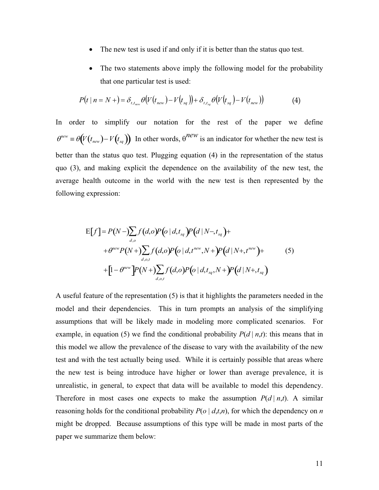- The new test is used if and only if it is better than the status quo test.
- The two statements above imply the following model for the probability that one particular test is used:

$$
P(t | n = N + \mathcal{E}_{t,t_{new}} \Theta(V(t_{new}) - V(t_{sq})) + \delta_{t,t_{sq}} \Theta(V(t_{sq}) - V(t_{new}))
$$
\n
$$
(4)
$$

In order to simplify our notation for the rest of the paper we define  $\theta^{new} \equiv \theta(V(t_{new}) - V(t_{sq}))$  In other words,  $\theta^{new}$  is an indicator for whether the new test is better than the status quo test. Plugging equation (4) in the representation of the status quo (3), and making explicit the dependence on the availability of the new test, the average health outcome in the world with the new test is then represented by the following expression:

$$
E[f] = P(N - \sum_{d,o} f(d,o)P(o|d,t_{sq})P(d|N - t_{sq}) +
$$
  
+  $\theta^{new} P(N + \sum_{d,o,t} f(d,o)P(o|d,t^{new},N + P(a|N + t^{new}) +$   
+  $[1 - \theta^{new}]P(N + \sum_{d,o,t} f(d,o)P(o|d,t_{sq},N + P(a|N + t_{sq}))$  (5)

A useful feature of the representation (5) is that it highlights the parameters needed in the model and their dependencies. This in turn prompts an analysis of the simplifying assumptions that will be likely made in modeling more complicated scenarios. For example, in equation (5) we find the conditional probability  $P(d | n,t)$ : this means that in this model we allow the prevalence of the disease to vary with the availability of the new test and with the test actually being used. While it is certainly possible that areas where the new test is being introduce have higher or lower than average prevalence, it is unrealistic, in general, to expect that data will be available to model this dependency. Therefore in most cases one expects to make the assumption  $P(d | n,t)$ . A similar reasoning holds for the conditional probability  $P(o | d,t,n)$ , for which the dependency on *n* might be dropped. Because assumptions of this type will be made in most parts of the paper we summarize them below: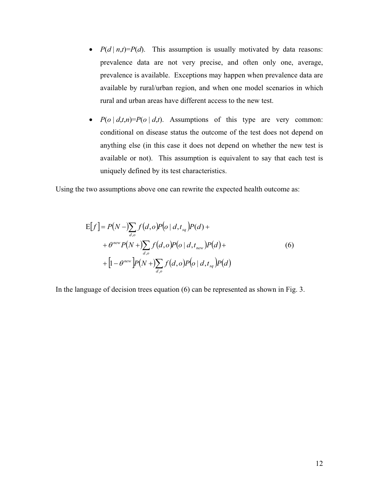- $P(d | n,t) = P(d)$ . This assumption is usually motivated by data reasons: prevalence data are not very precise, and often only one, average, prevalence is available. Exceptions may happen when prevalence data are available by rural/urban region, and when one model scenarios in which rural and urban areas have different access to the new test.
- $P(o \mid d,t,n) = P(o \mid d,t)$ . Assumptions of this type are very common: conditional on disease status the outcome of the test does not depend on anything else (in this case it does not depend on whether the new test is available or not). This assumption is equivalent to say that each test is uniquely defined by its test characteristics.

Using the two assumptions above one can rewrite the expected health outcome as:

$$
E[f] = P(N - \sum_{d,o} f(d,o)P(o|d, t_{sq})P(d) ++ \theta^{new} P(N + \sum_{d,o} f(d,o)P(o|d, t_{new})P(d) ++ [1 - \theta^{new}]P(N + \sum_{d,o} f(d,o)P(o|d, t_{sq})P(d)
$$
\n(6)

In the language of decision trees equation (6) can be represented as shown in Fig. 3.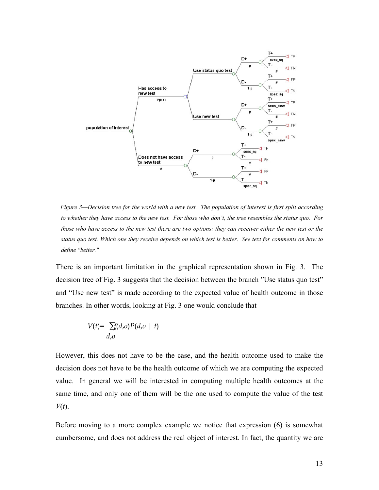

 *Figure 3—Decision tree for the world with a new test. The population of interest is first split according to whether they have access to the new test. For those who don't, the tree resembles the status quo. For those who have access to the new test there are two options: they can receiver either the new test or the status quo test. Which one they receive depends on which test is better. See text for comments on how to define "better."* 

There is an important limitation in the graphical representation shown in Fig. 3. The decision tree of Fig. 3 suggests that the decision between the branch "Use status quo test" and "Use new test" is made according to the expected value of health outcome in those branches. In other words, looking at Fig. 3 one would conclude that

$$
V(t) = \sum_{d,o} f(d,o) P(d,o \mid t)
$$

However, this does not have to be the case, and the health outcome used to make the decision does not have to be the health outcome of which we are computing the expected value. In general we will be interested in computing multiple health outcomes at the same time, and only one of them will be the one used to compute the value of the test *V*(*t*).

Before moving to a more complex example we notice that expression (6) is somewhat cumbersome, and does not address the real object of interest. In fact, the quantity we are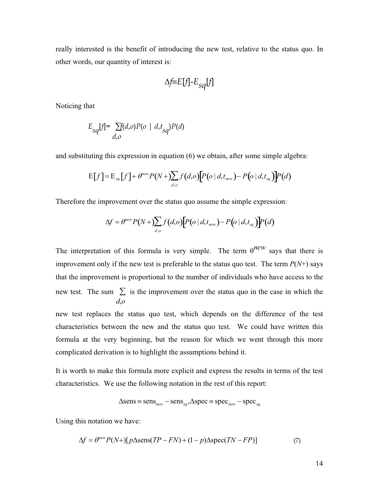really interested is the benefit of introducing the new test, relative to the status quo. In other words, our quantity of interest is:

$$
\Delta f \equiv E[f] - E_{sq}[f]
$$

Noticing that

$$
E_{sq}[f] = \sum_{d,o} \hat{f}(d,o)P(o \mid d, t_{sq})P(d)
$$

and substituting this expression in equation (6) we obtain, after some simple algebra:

$$
E[f] = E_{sq}[f] + \theta^{new} P(N + \sum_{d,o} f(d,o)[P(o|d,t_{new}) - P(o|d,t_{sq})]P(d)
$$

Therefore the improvement over the status quo assume the simple expression:

$$
\Delta f = \theta^{new} P(N + \sum_{d,o} f(d,o) \big[ P(o \mid d, t_{new}) - P(o \mid d, t_{sq}) \big] P(d)
$$

The interpretation of this formula is very simple. The term  $\theta^{new}$  says that there is improvement only if the new test is preferable to the status quo test. The term  $P(N+)$  says that the improvement is proportional to the number of individuals who have access to the new test. The sum  $\sum$  is the improvement over the status quo in the case in which the *d*,*o*

new test replaces the status quo test, which depends on the difference of the test characteristics between the new and the status quo test. We could have written this formula at the very beginning, but the reason for which we went through this more complicated derivation is to highlight the assumptions behind it.

It is worth to make this formula more explicit and express the results in terms of the test characteristics. We use the following notation in the rest of this report:

$$
\Delta sens \equiv sens_{new} - sens_{sq}, \Delta spec \equiv spec_{new} - spec_{sq}
$$

Using this notation we have:

$$
\Delta f = \theta^{new} P(N+) [p \Delta sens(TP - FN) + (1 - p) \Delta spec(TN - FP)] \tag{7}
$$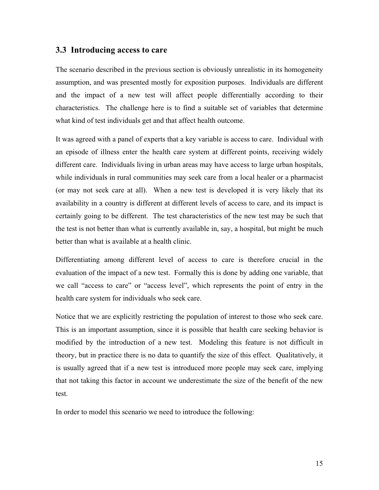#### **3.3 Introducing access to care**

The scenario described in the previous section is obviously unrealistic in its homogeneity assumption, and was presented mostly for exposition purposes. Individuals are different and the impact of a new test will affect people differentially according to their characteristics. The challenge here is to find a suitable set of variables that determine what kind of test individuals get and that affect health outcome.

It was agreed with a panel of experts that a key variable is access to care. Individual with an episode of illness enter the health care system at different points, receiving widely different care. Individuals living in urban areas may have access to large urban hospitals, while individuals in rural communities may seek care from a local healer or a pharmacist (or may not seek care at all). When a new test is developed it is very likely that its availability in a country is different at different levels of access to care, and its impact is certainly going to be different. The test characteristics of the new test may be such that the test is not better than what is currently available in, say, a hospital, but might be much better than what is available at a health clinic.

Differentiating among different level of access to care is therefore crucial in the evaluation of the impact of a new test. Formally this is done by adding one variable, that we call "access to care" or "access level", which represents the point of entry in the health care system for individuals who seek care.

Notice that we are explicitly restricting the population of interest to those who seek care. This is an important assumption, since it is possible that health care seeking behavior is modified by the introduction of a new test. Modeling this feature is not difficult in theory, but in practice there is no data to quantify the size of this effect. Qualitatively, it is usually agreed that if a new test is introduced more people may seek care, implying that not taking this factor in account we underestimate the size of the benefit of the new test.

In order to model this scenario we need to introduce the following: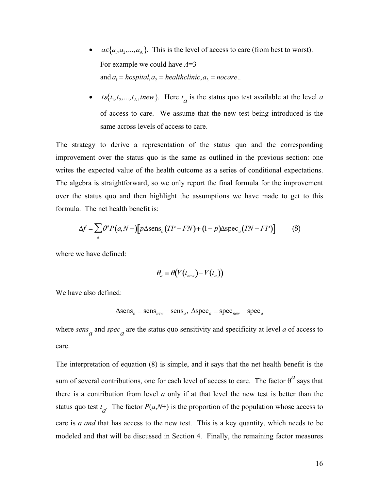- $a\varepsilon$ { $a_1, a_2, ..., a_A$ }. This is the level of access to care (from best to worst). For example we could have *A*=3 and  $a_1$  = hospital, $a_2$  = healthclinic, $a_3$  = nocare...
- *t* $\varepsilon \{t_1, t_2, ..., t_A, \text{new}\}.$  Here  $t_a$  is the status quo test available at the level *a* of access to care. We assume that the new test being introduced is the same across levels of access to care.

The strategy to derive a representation of the status quo and the corresponding improvement over the status quo is the same as outlined in the previous section: one writes the expected value of the health outcome as a series of conditional expectations. The algebra is straightforward, so we only report the final formula for the improvement over the status quo and then highlight the assumptions we have made to get to this formula. The net health benefit is:

$$
\Delta f = \sum_{a} \theta^{a} P(a, N +) [p \Delta \text{sens}_{a} (TP - FN) + (1 - p) \Delta \text{spec}_{a} (TN - FP)] \tag{8}
$$

where we have defined:

$$
\theta_a \equiv \theta(V(t_{new}) - V(t_a))
$$

We have also defined:

$$
\Delta \text{sens}_a \equiv \text{sens}_{new} - \text{sens}_a, \ \Delta \text{spec}_a \equiv \text{spec}_{new} - \text{spec}_a
$$

where  $sens_a$  and  $spec_a$  are the status quo sensitivity and specificity at level *a* of access to care.

The interpretation of equation (8) is simple, and it says that the net health benefit is the sum of several contributions, one for each level of access to care. The factor  $\theta^a$  says that there is a contribution from level *a* only if at that level the new test is better than the status quo test  $t_a$ . The factor  $P(a, N<sup>+</sup>)$  is the proportion of the population whose access to care is *a and* that has access to the new test. This is a key quantity, which needs to be modeled and that will be discussed in Section 4. Finally, the remaining factor measures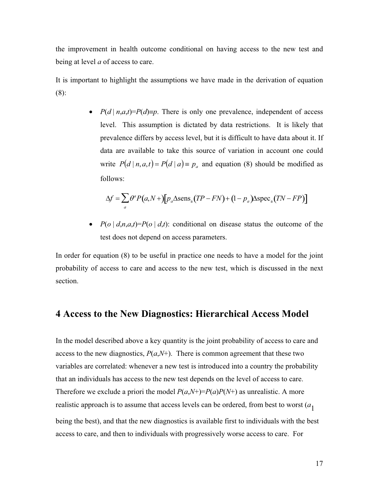the improvement in health outcome conditional on having access to the new test and being at level *a* of access to care.

It is important to highlight the assumptions we have made in the derivation of equation (8):

> •  $P(d \mid n, a, t) = P(d) \equiv p$ . There is only one prevalence, independent of access level. This assumption is dictated by data restrictions. It is likely that prevalence differs by access level, but it is difficult to have data about it. If data are available to take this source of variation in account one could write  $P(d | n, a, t) = P(d | a) \equiv p_a$  and equation (8) should be modified as follows:

$$
\Delta f = \sum_{a} \theta^a P(a, N+) [p_a \Delta \text{sens}_a (TP - FN) + (1 - p_a) \Delta \text{spec}_a (TN - FP)]
$$

•  $P(o \mid d, n, a, t) = P(o \mid d, t)$ : conditional on disease status the outcome of the test does not depend on access parameters.

In order for equation (8) to be useful in practice one needs to have a model for the joint probability of access to care and access to the new test, which is discussed in the next section.

# **4 Access to the New Diagnostics: Hierarchical Access Model**

In the model described above a key quantity is the joint probability of access to care and access to the new diagnostics,  $P(a, N<sup>+</sup>)$ . There is common agreement that these two variables are correlated: whenever a new test is introduced into a country the probability that an individuals has access to the new test depends on the level of access to care. Therefore we exclude a priori the model  $P(a, N^+)=P(a)P(N^+)$  as unrealistic. A more realistic approach is to assume that access levels can be ordered, from best to worst (*a*<sup>1</sup> being the best), and that the new diagnostics is available first to individuals with the best access to care, and then to individuals with progressively worse access to care. For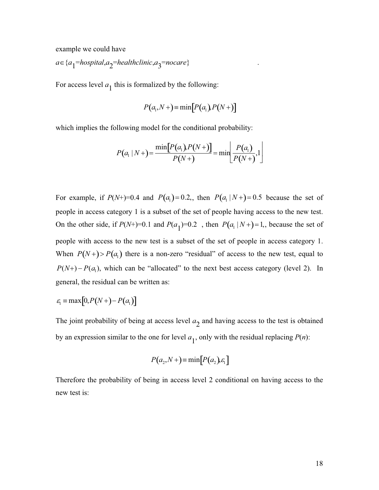example we could have

 $a \in \{a_1 = \text{hospital}, a_2 = \text{healthcline}, a_3 = \text{nocare}\}$  .

For access level  $a_1$  this is formalized by the following:

$$
P(a_1, N+) = \min[P(a_1), P(N+)]
$$

which implies the following model for the conditional probability:

$$
P(a_1 | N+) = \frac{\min[P(a_1)P(N+)]}{P(N+)} = \min\left[\frac{P(a_1)}{P(N+)}\right].
$$

For example, if  $P(N+) = 0.4$  and  $P(a_1) = 0.2$ , then  $P(a_1 \mid N+) = 0.5$  because the set of people in access category 1 is a subset of the set of people having access to the new test. On the other side, if  $P(N+) = 0.1$  and  $P(a_1) = 0.2$ , then  $P(a_1 \mid N+) = 1$ , because the set of people with access to the new test is a subset of the set of people in access category 1. When  $P(N+) > P(a_1)$  there is a non-zero "residual" of access to the new test, equal to  $P(N+)-P(a_1)$ , which can be "allocated" to the next best access category (level 2). In general, the residual can be written as:

$$
\varepsilon_{\rm l} \equiv \max[0, P(N+) - P(a_{\rm l})]
$$

The joint probability of being at access level  $a_2$  and having access to the test is obtained by an expression similar to the one for level  $a_1$ , only with the residual replacing  $P(n)$ :

$$
P(a_2, N+) = \min[P(a_2), \varepsilon_1]
$$

Therefore the probability of being in access level 2 conditional on having access to the new test is: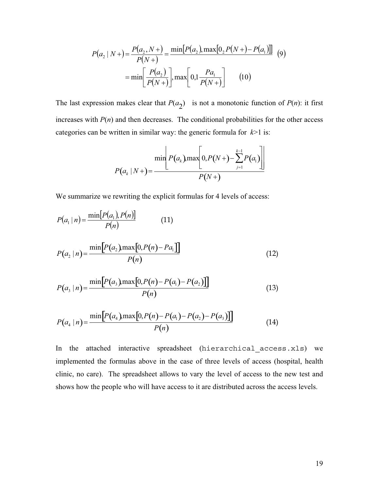$$
P(a_2 | N+) = \frac{P(a_2, N+)}{P(N+)} = \frac{\min[P(a_2), \max[0, P(N+)-P(a_1)]]}{\min[P(a_2)]},
$$
\n
$$
= \min\left[\frac{P(a_2)}{P(N+)}\right], \max\left[0, 1\frac{Pa_1}{P(N+)}\right] \quad (10)
$$

The last expression makes clear that  $P(a_2)$  is not a monotonic function of  $P(n)$ : it first increases with  $P(n)$  and then decreases. The conditional probabilities for the other access categories can be written in similar way: the generic formula for *k*>1 is:

$$
P(a_k | N+) = \frac{\min\left[P(a_k)\max\left[0, P(N+) - \sum_{j=1}^{k-1} P(a_j)\right]\right]}{P(N+)}
$$

We summarize we rewriting the explicit formulas for 4 levels of access:

$$
P(a_1 | n) = \frac{\min[P(a_1), P(n)]}{P(n)}
$$
(11)

$$
P(a_2 \mid n) = \frac{\min\left[P(a_2)\max\left[0, P(n) - Pa_1\right]\right]}{P(n)}\tag{12}
$$

$$
P(a_3 | n) = \frac{\min[P(a_3) \max[0, P(n) - P(a_1) - P(a_2)]]}{P(n)}
$$
(13)

$$
P(a_4 | n) = \frac{\min[P(a_4)\max[0, P(n) - P(a_1) - P(a_2) - P(a_3)]]}{P(n)}
$$
(14)

In the attached interactive spreadsheet (hierarchical\_access.xls) we implemented the formulas above in the case of three levels of access (hospital, health clinic, no care). The spreadsheet allows to vary the level of access to the new test and shows how the people who will have access to it are distributed across the access levels.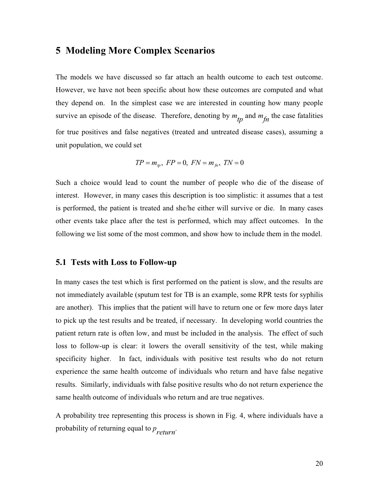# **5 Modeling More Complex Scenarios**

The models we have discussed so far attach an health outcome to each test outcome. However, we have not been specific about how these outcomes are computed and what they depend on. In the simplest case we are interested in counting how many people survive an episode of the disease. Therefore, denoting by  $m_{\tilde{t}p}$  and  $m_{\tilde{f}p}$  the case fatalities for true positives and false negatives (treated and untreated disease cases), assuming a unit population, we could set

$$
TP = m_{tp}
$$
,  $FP = 0$ ,  $FN = m_{fn}$ ,  $TN = 0$ 

Such a choice would lead to count the number of people who die of the disease of interest. However, in many cases this description is too simplistic: it assumes that a test is performed, the patient is treated and she/he either will survive or die. In many cases other events take place after the test is performed, which may affect outcomes. In the following we list some of the most common, and show how to include them in the model.

#### **5.1 Tests with Loss to Follow-up**

In many cases the test which is first performed on the patient is slow, and the results are not immediately available (sputum test for TB is an example, some RPR tests for syphilis are another). This implies that the patient will have to return one or few more days later to pick up the test results and be treated, if necessary. In developing world countries the patient return rate is often low, and must be included in the analysis. The effect of such loss to follow-up is clear: it lowers the overall sensitivity of the test, while making specificity higher. In fact, individuals with positive test results who do not return experience the same health outcome of individuals who return and have false negative results. Similarly, individuals with false positive results who do not return experience the same health outcome of individuals who return and are true negatives.

A probability tree representing this process is shown in Fig. 4, where individuals have a probability of returning equal to  $p_{return}$ .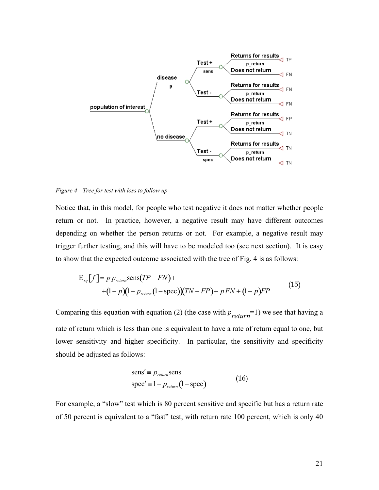

*Figure 4—Tree for test with loss to follow up* 

Notice that, in this model, for people who test negative it does not matter whether people return or not. In practice, however, a negative result may have different outcomes depending on whether the person returns or not. For example, a negative result may trigger further testing, and this will have to be modeled too (see next section). It is easy to show that the expected outcome associated with the tree of Fig. 4 is as follows:

$$
E_{sq}[f] = p p_{return} \text{sens}(TP - FN) +
$$
  
+(1-p)(1-p\_{return} (1-spec))(TN - FP) + p FN + (1-p)FP (15)

Comparing this equation with equation (2) (the case with  $p_{return}$ =1) we see that having a rate of return which is less than one is equivalent to have a rate of return equal to one, but lower sensitivity and higher specificity. In particular, the sensitivity and specificity should be adjusted as follows:

sens' = 
$$
p_{return}
$$
sens  
spec' =  $1 - p_{return}$ (1 - spec) (16)

For example, a "slow" test which is 80 percent sensitive and specific but has a return rate of 50 percent is equivalent to a "fast" test, with return rate 100 percent, which is only 40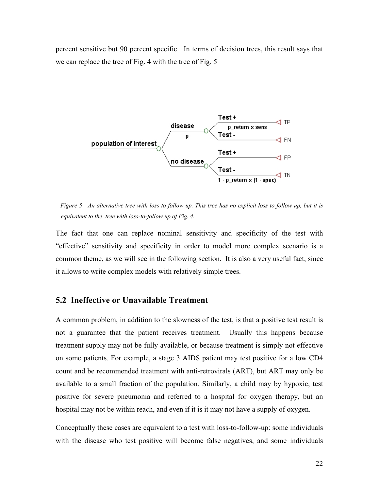percent sensitive but 90 percent specific. In terms of decision trees, this result says that we can replace the tree of Fig. 4 with the tree of Fig. 5



 *Figure 5—An alternative tree with loss to follow up. This tree has no explicit loss to follow up, but it is equivalent to the tree with loss-to-follow up of Fig. 4.* 

The fact that one can replace nominal sensitivity and specificity of the test with "effective" sensitivity and specificity in order to model more complex scenario is a common theme, as we will see in the following section. It is also a very useful fact, since it allows to write complex models with relatively simple trees.

#### **5.2 Ineffective or Unavailable Treatment**

A common problem, in addition to the slowness of the test, is that a positive test result is not a guarantee that the patient receives treatment. Usually this happens because treatment supply may not be fully available, or because treatment is simply not effective on some patients. For example, a stage 3 AIDS patient may test positive for a low CD4 count and be recommended treatment with anti-retrovirals (ART), but ART may only be available to a small fraction of the population. Similarly, a child may by hypoxic, test positive for severe pneumonia and referred to a hospital for oxygen therapy, but an hospital may not be within reach, and even if it is it may not have a supply of oxygen.

Conceptually these cases are equivalent to a test with loss-to-follow-up: some individuals with the disease who test positive will become false negatives, and some individuals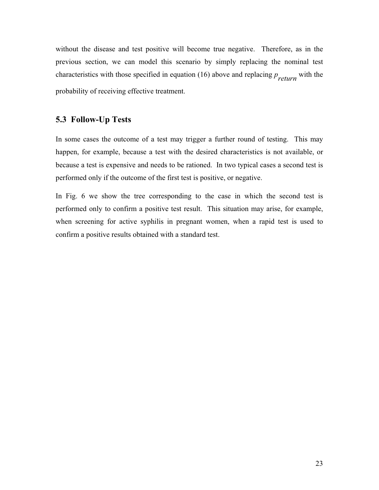without the disease and test positive will become true negative. Therefore, as in the previous section, we can model this scenario by simply replacing the nominal test characteristics with those specified in equation (16) above and replacing *p return* with the probability of receiving effective treatment.

### **5.3 Follow-Up Tests**

In some cases the outcome of a test may trigger a further round of testing. This may happen, for example, because a test with the desired characteristics is not available, or because a test is expensive and needs to be rationed. In two typical cases a second test is performed only if the outcome of the first test is positive, or negative.

In Fig. 6 we show the tree corresponding to the case in which the second test is performed only to confirm a positive test result. This situation may arise, for example, when screening for active syphilis in pregnant women, when a rapid test is used to confirm a positive results obtained with a standard test.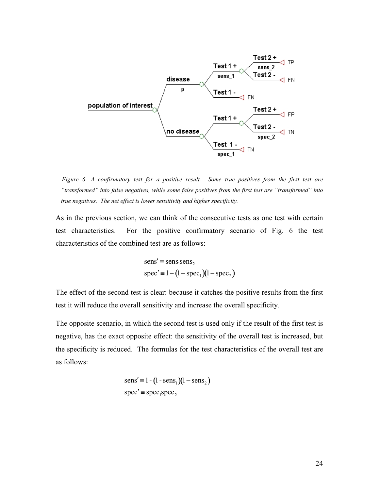

 *Figure 6—A confirmatory test for a positive result. Some true positives from the first test are "transformed" into false negatives, while some false positives from the first test are "transformed" into true negatives. The net effect is lower sensitivity and higher specificity.* 

As in the previous section, we can think of the consecutive tests as one test with certain test characteristics. For the positive confirmatory scenario of Fig. 6 the test characteristics of the combined test are as follows:

sensc{ sens1sens2 specc{1 1 spec <sup>1</sup> 1 spec <sup>2</sup>

The effect of the second test is clear: because it catches the positive results from the first test it will reduce the overall sensitivity and increase the overall specificity.

The opposite scenario, in which the second test is used only if the result of the first test is negative, has the exact opposite effect: the sensitivity of the overall test is increased, but the specificity is reduced. The formulas for the test characteristics of the overall test are as follows:

sensc{1- 1- sens <sup>1</sup> 1 sens <sup>2</sup> specc{ spec1spec2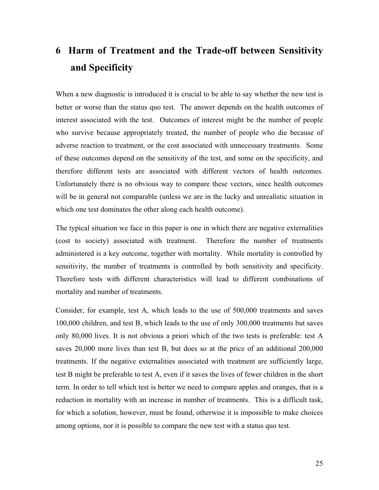# **6 Harm of Treatment and the Trade-off between Sensitivity and Specificity**

When a new diagnostic is introduced it is crucial to be able to say whether the new test is better or worse than the status quo test. The answer depends on the health outcomes of interest associated with the test. Outcomes of interest might be the number of people who survive because appropriately treated, the number of people who die because of adverse reaction to treatment, or the cost associated with unnecessary treatments. Some of these outcomes depend on the sensitivity of the test, and some on the specificity, and therefore different tests are associated with different vectors of health outcomes. Unfortunately there is no obvious way to compare these vectors, since health outcomes will be in general not comparable (unless we are in the lucky and unrealistic situation in which one test dominates the other along each health outcome).

The typical situation we face in this paper is one in which there are negative externalities (cost to society) associated with treatment. Therefore the number of treatments administered is a key outcome, together with mortality. While mortality is controlled by sensitivity, the number of treatments is controlled by both sensitivity and specificity. Therefore tests with different characteristics will lead to different combinations of mortality and number of treatments.

Consider, for example, test A, which leads to the use of 500,000 treatments and saves 100,000 children, and test B, which leads to the use of only 300,000 treatments but saves only 80,000 lives. It is not obvious a priori which of the two tests is preferable: test A saves 20,000 more lives than test B, but does so at the price of an additional 200,000 treatments. If the negative externalities associated with treatment are sufficiently large, test B might be preferable to test A, even if it saves the lives of fewer children in the short term. In order to tell which test is better we need to compare apples and oranges, that is a reduction in mortality with an increase in number of treatments. This is a difficult task, for which a solution, however, must be found, otherwise it is impossible to make choices among options, nor it is possible to compare the new test with a status quo test.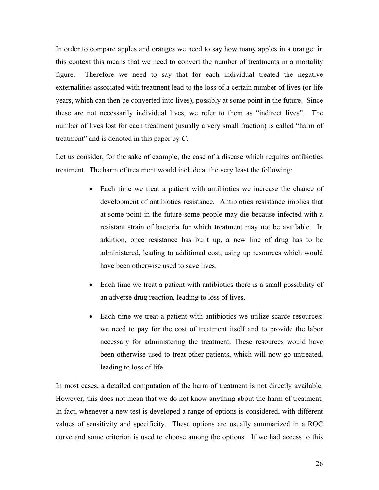In order to compare apples and oranges we need to say how many apples in a orange: in this context this means that we need to convert the number of treatments in a mortality figure. Therefore we need to say that for each individual treated the negative externalities associated with treatment lead to the loss of a certain number of lives (or life years, which can then be converted into lives), possibly at some point in the future. Since these are not necessarily individual lives, we refer to them as "indirect lives". The number of lives lost for each treatment (usually a very small fraction) is called "harm of treatment" and is denoted in this paper by *C*.

Let us consider, for the sake of example, the case of a disease which requires antibiotics treatment. The harm of treatment would include at the very least the following:

- Each time we treat a patient with antibiotics we increase the chance of development of antibiotics resistance. Antibiotics resistance implies that at some point in the future some people may die because infected with a resistant strain of bacteria for which treatment may not be available. In addition, once resistance has built up, a new line of drug has to be administered, leading to additional cost, using up resources which would have been otherwise used to save lives.
- Each time we treat a patient with antibiotics there is a small possibility of an adverse drug reaction, leading to loss of lives.
- Each time we treat a patient with antibiotics we utilize scarce resources: we need to pay for the cost of treatment itself and to provide the labor necessary for administering the treatment. These resources would have been otherwise used to treat other patients, which will now go untreated, leading to loss of life.

In most cases, a detailed computation of the harm of treatment is not directly available. However, this does not mean that we do not know anything about the harm of treatment. In fact, whenever a new test is developed a range of options is considered, with different values of sensitivity and specificity. These options are usually summarized in a ROC curve and some criterion is used to choose among the options. If we had access to this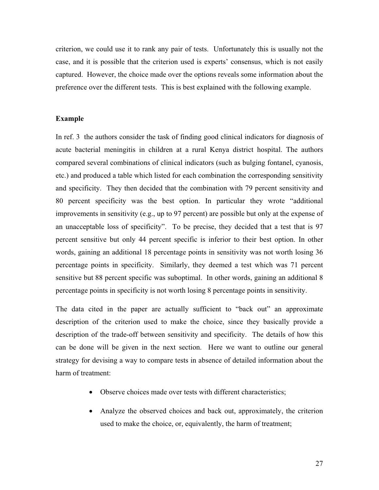criterion, we could use it to rank any pair of tests. Unfortunately this is usually not the case, and it is possible that the criterion used is experts' consensus, which is not easily captured. However, the choice made over the options reveals some information about the preference over the different tests. This is best explained with the following example.

#### **Example**

In ref. 3 the authors consider the task of finding good clinical indicators for diagnosis of acute bacterial meningitis in children at a rural Kenya district hospital. The authors compared several combinations of clinical indicators (such as bulging fontanel, cyanosis, etc.) and produced a table which listed for each combination the corresponding sensitivity and specificity. They then decided that the combination with 79 percent sensitivity and 80 percent specificity was the best option. In particular they wrote "additional improvements in sensitivity (e.g., up to 97 percent) are possible but only at the expense of an unacceptable loss of specificity". To be precise, they decided that a test that is 97 percent sensitive but only 44 percent specific is inferior to their best option. In other words, gaining an additional 18 percentage points in sensitivity was not worth losing 36 percentage points in specificity. Similarly, they deemed a test which was 71 percent sensitive but 88 percent specific was suboptimal. In other words, gaining an additional 8 percentage points in specificity is not worth losing 8 percentage points in sensitivity.

The data cited in the paper are actually sufficient to "back out" an approximate description of the criterion used to make the choice, since they basically provide a description of the trade-off between sensitivity and specificity. The details of how this can be done will be given in the next section. Here we want to outline our general strategy for devising a way to compare tests in absence of detailed information about the harm of treatment:

- Observe choices made over tests with different characteristics;
- Analyze the observed choices and back out, approximately, the criterion used to make the choice, or, equivalently, the harm of treatment;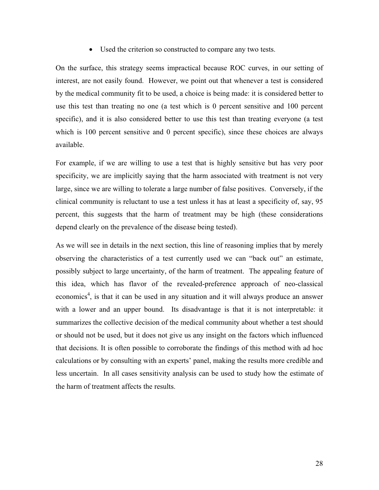• Used the criterion so constructed to compare any two tests.

On the surface, this strategy seems impractical because ROC curves, in our setting of interest, are not easily found. However, we point out that whenever a test is considered by the medical community fit to be used, a choice is being made: it is considered better to use this test than treating no one (a test which is 0 percent sensitive and 100 percent specific), and it is also considered better to use this test than treating everyone (a test which is 100 percent sensitive and 0 percent specific), since these choices are always available.

For example, if we are willing to use a test that is highly sensitive but has very poor specificity, we are implicitly saying that the harm associated with treatment is not very large, since we are willing to tolerate a large number of false positives. Conversely, if the clinical community is reluctant to use a test unless it has at least a specificity of, say, 95 percent, this suggests that the harm of treatment may be high (these considerations depend clearly on the prevalence of the disease being tested).

As we will see in details in the next section, this line of reasoning implies that by merely observing the characteristics of a test currently used we can "back out" an estimate, possibly subject to large uncertainty, of the harm of treatment. The appealing feature of this idea, which has flavor of the revealed-preference approach of neo-classical economics<sup>4</sup>, is that it can be used in any situation and it will always produce an answer with a lower and an upper bound. Its disadvantage is that it is not interpretable: it summarizes the collective decision of the medical community about whether a test should or should not be used, but it does not give us any insight on the factors which influenced that decisions. It is often possible to corroborate the findings of this method with ad hoc calculations or by consulting with an experts' panel, making the results more credible and less uncertain. In all cases sensitivity analysis can be used to study how the estimate of the harm of treatment affects the results.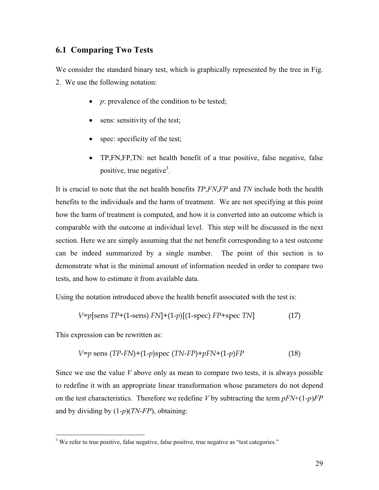#### **6.1 Comparing Two Tests**

We consider the standard binary test, which is graphically represented by the tree in Fig. 2. We use the following notation:

- $\bullet$  *p*: prevalence of the condition to be tested;
- sens: sensitivity of the test;
- $\bullet$  spec: specificity of the test;
- TP,FN,FP,TN: net health benefit of a true positive, false negative, false positive, true negative<sup>3</sup>.

It is crucial to note that the net health benefits *TP*,*FN*,*FP* and *TN* include both the health benefits to the individuals and the harm of treatment. We are not specifying at this point how the harm of treatment is computed, and how it is converted into an outcome which is comparable with the outcome at individual level. This step will be discussed in the next section. Here we are simply assuming that the net benefit corresponding to a test outcome can be indeed summarized by a single number. The point of this section is to demonstrate what is the minimal amount of information needed in order to compare two tests, and how to estimate it from available data.

Using the notation introduced above the health benefit associated with the test is:

$$
V = p[\text{sens TP} + (1-\text{sens}) FN] + (1-p)[(1-\text{spec}) FP + \text{spec TN}] \tag{17}
$$

This expression can be rewritten as:

 $\overline{a}$ 

$$
V = p \text{ sens } (TP\text{-}FN) + (1-p)\text{spec } (TN\text{-}FP) + pFN + (1-p)FP
$$
\n
$$
(18)
$$

Since we use the value *V* above only as mean to compare two tests, it is always possible to redefine it with an appropriate linear transformation whose parameters do not depend on the test characteristics. Therefore we redefine *V* by subtracting the term  $pFN+(1-p)FP$ and by dividing by (1-*p*)(*TN*-*FP*), obtaining:

 $3$  We refer to true positive, false negative, false positive, true negative as "test categories."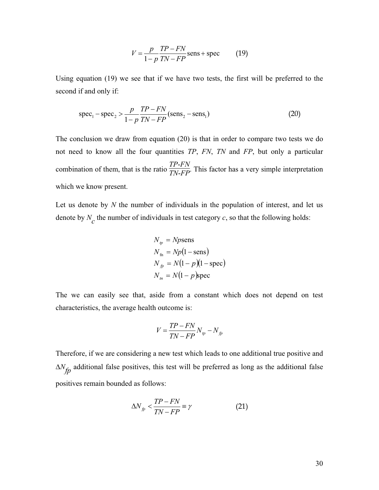$$
V = \frac{p}{1 - p} \frac{TP - FN}{TN - FP}
$$
 sens + spec (19)

Using equation (19) we see that if we have two tests, the first will be preferred to the second if and only if:

$$
spec_1 - spec_2 > \frac{p}{1-p} \frac{TP - FN}{TN - FP} (sens_2 - sens_1)
$$
\n(20)

The conclusion we draw from equation (20) is that in order to compare two tests we do not need to know all the four quantities *TP*, *FN*, *TN* and *FP*, but only a particular combination of them, that is the ratio  $\frac{TP-FN}{TN-FP}$ . This factor has a very simple interpretation which we know present.

Let us denote by *N* the number of individuals in the population of interest, and let us denote by  $N_c$  the number of individuals in test category  $c$ , so that the following holds:

$$
N_{tp} = Np
$$
sens  
\n
$$
N_{fn} = Np(1 - \text{sens})
$$
  
\n
$$
N_{fp} = N(1 - p)(1 - \text{spec})
$$
  
\n
$$
N_{tn} = N(1 - p)\text{spec}
$$

The we can easily see that, aside from a constant which does not depend on test characteristics, the average health outcome is:

$$
V = \frac{TP - FN}{TN - FP} N_{tp} - N_{fp}
$$

Therefore, if we are considering a new test which leads to one additional true positive and  $\Delta N_{fp}$  additional false positives, this test will be preferred as long as the additional false positives remain bounded as follows:

$$
\Delta N_{fp} < \frac{TP - FN}{TN - FP} \equiv \gamma \tag{21}
$$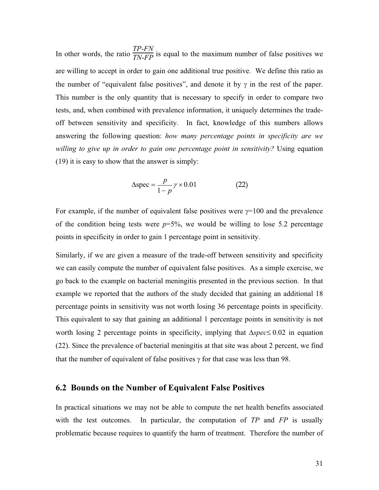In other words, the ratio  $\frac{TP-FN}{TN-FP}$  is equal to the maximum number of false positives we are willing to accept in order to gain one additional true positive. We define this ratio as the number of "equivalent false positives", and denote it by  $\gamma$  in the rest of the paper. This number is the only quantity that is necessary to specify in order to compare two tests, and, when combined with prevalence information, it uniquely determines the tradeoff between sensitivity and specificity. In fact, knowledge of this numbers allows answering the following question: *how many percentage points in specificity are we*  willing to give up in order to gain one percentage point in sensitivity? Using equation (19) it is easy to show that the answer is simply:

$$
\Delta \text{spec} = \frac{p}{1 - p} \gamma \times 0.01 \tag{22}
$$

For example, if the number of equivalent false positives were  $\gamma=100$  and the prevalence of the condition being tests were  $p=5\%$ , we would be willing to lose 5.2 percentage points in specificity in order to gain 1 percentage point in sensitivity.

Similarly, if we are given a measure of the trade-off between sensitivity and specificity we can easily compute the number of equivalent false positives. As a simple exercise, we go back to the example on bacterial meningitis presented in the previous section. In that example we reported that the authors of the study decided that gaining an additional 18 percentage points in sensitivity was not worth losing 36 percentage points in specificity. This equivalent to say that gaining an additional 1 percentage points in sensitivity is not worth losing 2 percentage points in specificity, implying that  $\Delta spec \leq 0.02$  in equation (22). Since the prevalence of bacterial meningitis at that site was about 2 percent, we find that the number of equivalent of false positives  $\gamma$  for that case was less than 98.

#### **6.2 Bounds on the Number of Equivalent False Positives**

In practical situations we may not be able to compute the net health benefits associated with the test outcomes. In particular, the computation of *TP* and *FP* is usually problematic because requires to quantify the harm of treatment. Therefore the number of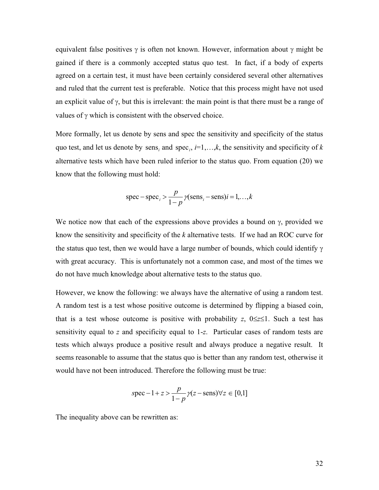equivalent false positives  $\gamma$  is often not known. However, information about  $\gamma$  might be gained if there is a commonly accepted status quo test. In fact, if a body of experts agreed on a certain test, it must have been certainly considered several other alternatives and ruled that the current test is preferable. Notice that this process might have not used an explicit value of  $\gamma$ , but this is irrelevant: the main point is that there must be a range of values of  $\gamma$  which is consistent with the observed choice.

More formally, let us denote by sens and spec the sensitivity and specificity of the status quo test, and let us denote by sens<sub>*i*</sub> and spec<sub>*i*</sub>,  $i=1,...,k$ , the sensitivity and specificity of *k* alternative tests which have been ruled inferior to the status quo. From equation (20) we know that the following must hold:

$$
spec - spec_i > \frac{p}{1-p} \gamma (sens_i - sens)i = 1, ..., k
$$

We notice now that each of the expressions above provides a bound on  $\gamma$ , provided we know the sensitivity and specificity of the *k* alternative tests. If we had an ROC curve for the status quo test, then we would have a large number of bounds, which could identify  $\gamma$ with great accuracy. This is unfortunately not a common case, and most of the times we do not have much knowledge about alternative tests to the status quo.

However, we know the following: we always have the alternative of using a random test. A random test is a test whose positive outcome is determined by flipping a biased coin, that is a test whose outcome is positive with probability *z*,  $0 \le z \le 1$ . Such a test has sensitivity equal to *z* and specificity equal to 1-*z*. Particular cases of random tests are tests which always produce a positive result and always produce a negative result. It seems reasonable to assume that the status quo is better than any random test, otherwise it would have not been introduced. Therefore the following must be true:

$$
spec - 1 + z > \frac{p}{1 - p} \gamma(z - sens) \forall z \in [0, 1]
$$

The inequality above can be rewritten as: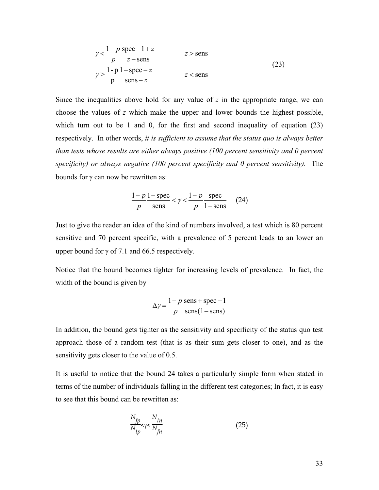$$
\gamma < \frac{1-p}{p} \frac{\text{spec} - 1 + z}{z - \text{sens}} \qquad z > \text{sens}
$$
\n
$$
\gamma > \frac{1-p}{p} \frac{1 - \text{spec} - z}{\text{sens} - z} \qquad z < \text{sens}
$$
\n(23)

Since the inequalities above hold for any value of *z* in the appropriate range, we can choose the values of *z* which make the upper and lower bounds the highest possible, which turn out to be 1 and 0, for the first and second inequality of equation (23) respectively. In other words, *it is sufficient to assume that the status quo is always better than tests whose results are either always positive (100 percent sensitivity and 0 percent specificity) or always negative (100 percent specificity and 0 percent sensitivity).* The bounds for  $\gamma$  can now be rewritten as:

$$
\frac{1-p}{p} \frac{1-\text{spec}}{\text{sens}} < \gamma < \frac{1-p}{p} \frac{\text{spec}}{1-\text{sens}} \tag{24}
$$

Just to give the reader an idea of the kind of numbers involved, a test which is 80 percent sensitive and 70 percent specific, with a prevalence of 5 percent leads to an lower an upper bound for  $\gamma$  of 7.1 and 66.5 respectively.

Notice that the bound becomes tighter for increasing levels of prevalence. In fact, the width of the bound is given by

$$
\Delta \gamma = \frac{1 - p}{p} \frac{\text{sens} + \text{spec} - 1}{\text{sens}(1 - \text{sens})}
$$

In addition, the bound gets tighter as the sensitivity and specificity of the status quo test approach those of a random test (that is as their sum gets closer to one), and as the sensitivity gets closer to the value of 0.5.

It is useful to notice that the bound 24 takes a particularly simple form when stated in terms of the number of individuals falling in the different test categories; In fact, it is easy to see that this bound can be rewritten as:

$$
\frac{N_{fp}}{N_{tp}} < \gamma < \frac{N_{tn}}{N_{fn}}
$$
\n(25)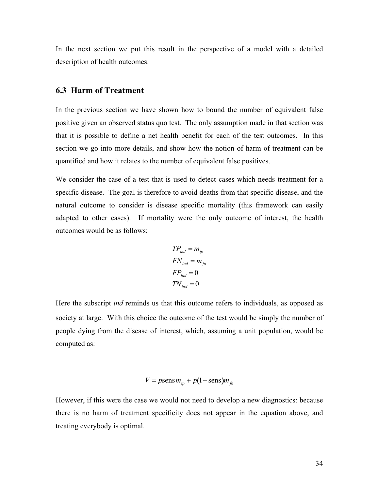In the next section we put this result in the perspective of a model with a detailed description of health outcomes.

#### **6.3 Harm of Treatment**

In the previous section we have shown how to bound the number of equivalent false positive given an observed status quo test. The only assumption made in that section was that it is possible to define a net health benefit for each of the test outcomes. In this section we go into more details, and show how the notion of harm of treatment can be quantified and how it relates to the number of equivalent false positives.

We consider the case of a test that is used to detect cases which needs treatment for a specific disease. The goal is therefore to avoid deaths from that specific disease, and the natural outcome to consider is disease specific mortality (this framework can easily adapted to other cases). If mortality were the only outcome of interest, the health outcomes would be as follows:

$$
TP_{ind} = m_{tp}
$$
  
\n
$$
FN_{ind} = m_{fn}
$$
  
\n
$$
FP_{ind} = 0
$$
  
\n
$$
TN_{ind} = 0
$$

Here the subscript *ind* reminds us that this outcome refers to individuals, as opposed as society at large. With this choice the outcome of the test would be simply the number of people dying from the disease of interest, which, assuming a unit population, would be computed as:

$$
V = p \operatorname{sens} m_{tp} + p(1 - \operatorname{sens}) m_{fn}
$$

However, if this were the case we would not need to develop a new diagnostics: because there is no harm of treatment specificity does not appear in the equation above, and treating everybody is optimal.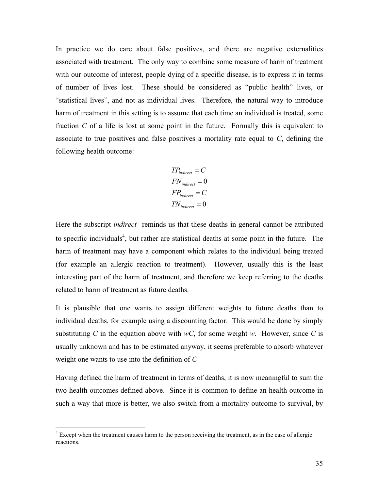In practice we do care about false positives, and there are negative externalities associated with treatment. The only way to combine some measure of harm of treatment with our outcome of interest, people dying of a specific disease, is to express it in terms of number of lives lost. These should be considered as "public health" lives, or "statistical lives", and not as individual lives. Therefore, the natural way to introduce harm of treatment in this setting is to assume that each time an individual is treated, some fraction *C* of a life is lost at some point in the future. Formally this is equivalent to associate to true positives and false positives a mortality rate equal to *C*, defining the following health outcome:

$$
TP_{indirect} = C
$$
  
\n
$$
FN_{indirect} = 0
$$
  
\n
$$
FP_{indirect} = C
$$
  
\n
$$
TN_{indirect} = 0
$$

Here the subscript *indirect* reminds us that these deaths in general cannot be attributed to specific individuals<sup>4</sup>, but rather are statistical deaths at some point in the future. The harm of treatment may have a component which relates to the individual being treated (for example an allergic reaction to treatment). However, usually this is the least interesting part of the harm of treatment, and therefore we keep referring to the deaths related to harm of treatment as future deaths.

It is plausible that one wants to assign different weights to future deaths than to individual deaths, for example using a discounting factor. This would be done by simply substituting *C* in the equation above with  $wC$ , for some weight *w*. However, since *C* is usually unknown and has to be estimated anyway, it seems preferable to absorb whatever weight one wants to use into the definition of *C*

Having defined the harm of treatment in terms of deaths, it is now meaningful to sum the two health outcomes defined above. Since it is common to define an health outcome in such a way that more is better, we also switch from a mortality outcome to survival, by

<sup>&</sup>lt;sup>4</sup> Except when the treatment causes harm to the person receiving the treatment, as in the case of allergic reactions.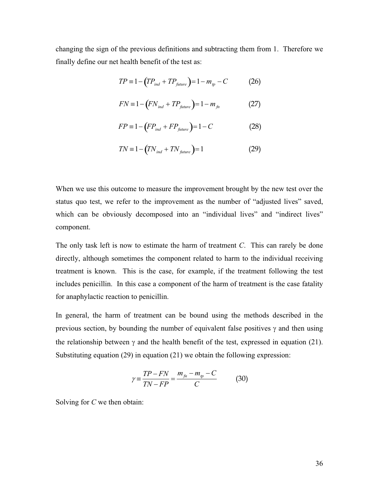changing the sign of the previous definitions and subtracting them from 1. Therefore we finally define our net health benefit of the test as:

$$
TP \equiv 1 - \left( TP_{ind} + TP_{future} \right) = 1 - m_{tp} - C \tag{26}
$$

$$
FN \equiv 1 - \left( FN_{ind} + TP_{future} \right) = 1 - m_{fn} \tag{27}
$$

$$
FP \equiv 1 - \left( FP_{ind} + FP_{future} \right) = 1 - C \tag{28}
$$

$$
TN \equiv 1 - \left(TN_{ind} + TN_{future}\right) = 1\tag{29}
$$

When we use this outcome to measure the improvement brought by the new test over the status quo test, we refer to the improvement as the number of "adjusted lives" saved, which can be obviously decomposed into an "individual lives" and "indirect lives" component.

The only task left is now to estimate the harm of treatment *C*. This can rarely be done directly, although sometimes the component related to harm to the individual receiving treatment is known. This is the case, for example, if the treatment following the test includes penicillin. In this case a component of the harm of treatment is the case fatality for anaphylactic reaction to penicillin.

In general, the harm of treatment can be bound using the methods described in the previous section, by bounding the number of equivalent false positives  $\gamma$  and then using the relationship between  $\gamma$  and the health benefit of the test, expressed in equation (21). Substituting equation (29) in equation (21) we obtain the following expression:

$$
\gamma = \frac{TP - FN}{TN - FP} = \frac{m_{fn} - m_{tp} - C}{C}
$$
 (30)

Solving for *C* we then obtain: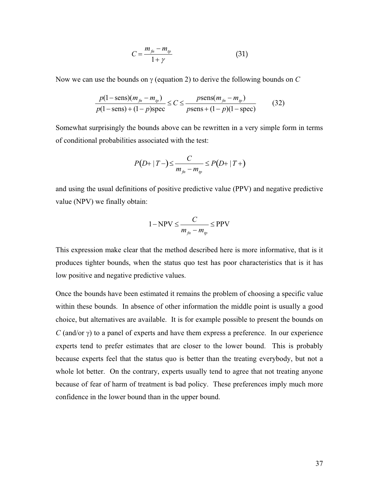$$
C = \frac{m_{fn} - m_{tp}}{1 + \gamma} \tag{31}
$$

Now we can use the bounds on  $\gamma$  (equation 2) to derive the following bounds on  $C$ 

$$
\frac{p(1-\text{sens})(m_{fn} - m_{tp})}{p(1-\text{sens}) + (1-p)\text{spec}} \le C \le \frac{p\text{sens}(m_{fn} - m_{tp})}{p\text{sens} + (1-p)(1-\text{spec})}
$$
(32)

Somewhat surprisingly the bounds above can be rewritten in a very simple form in terms of conditional probabilities associated with the test:

$$
P(D+|T-) \leq \frac{C}{m_{\hat{m}}-m_{\hat{p}}} \leq P(D+|T+)
$$

and using the usual definitions of positive predictive value (PPV) and negative predictive value (NPV) we finally obtain:

$$
1 - NPV \leq \frac{C}{m_{fn} - m_{tp}} \leq PPV
$$

This expression make clear that the method described here is more informative, that is it produces tighter bounds, when the status quo test has poor characteristics that is it has low positive and negative predictive values.

Once the bounds have been estimated it remains the problem of choosing a specific value within these bounds. In absence of other information the middle point is usually a good choice, but alternatives are available. It is for example possible to present the bounds on  $C$  (and/or  $\gamma$ ) to a panel of experts and have them express a preference. In our experience experts tend to prefer estimates that are closer to the lower bound. This is probably because experts feel that the status quo is better than the treating everybody, but not a whole lot better. On the contrary, experts usually tend to agree that not treating anyone because of fear of harm of treatment is bad policy. These preferences imply much more confidence in the lower bound than in the upper bound.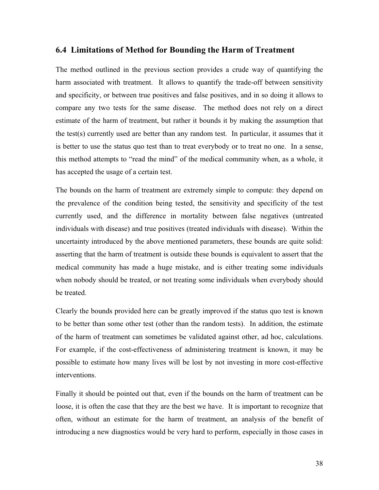#### **6.4 Limitations of Method for Bounding the Harm of Treatment**

The method outlined in the previous section provides a crude way of quantifying the harm associated with treatment. It allows to quantify the trade-off between sensitivity and specificity, or between true positives and false positives, and in so doing it allows to compare any two tests for the same disease. The method does not rely on a direct estimate of the harm of treatment, but rather it bounds it by making the assumption that the test(s) currently used are better than any random test. In particular, it assumes that it is better to use the status quo test than to treat everybody or to treat no one. In a sense, this method attempts to "read the mind" of the medical community when, as a whole, it has accepted the usage of a certain test.

The bounds on the harm of treatment are extremely simple to compute: they depend on the prevalence of the condition being tested, the sensitivity and specificity of the test currently used, and the difference in mortality between false negatives (untreated individuals with disease) and true positives (treated individuals with disease). Within the uncertainty introduced by the above mentioned parameters, these bounds are quite solid: asserting that the harm of treatment is outside these bounds is equivalent to assert that the medical community has made a huge mistake, and is either treating some individuals when nobody should be treated, or not treating some individuals when everybody should be treated.

Clearly the bounds provided here can be greatly improved if the status quo test is known to be better than some other test (other than the random tests). In addition, the estimate of the harm of treatment can sometimes be validated against other, ad hoc, calculations. For example, if the cost-effectiveness of administering treatment is known, it may be possible to estimate how many lives will be lost by not investing in more cost-effective interventions.

Finally it should be pointed out that, even if the bounds on the harm of treatment can be loose, it is often the case that they are the best we have. It is important to recognize that often, without an estimate for the harm of treatment, an analysis of the benefit of introducing a new diagnostics would be very hard to perform, especially in those cases in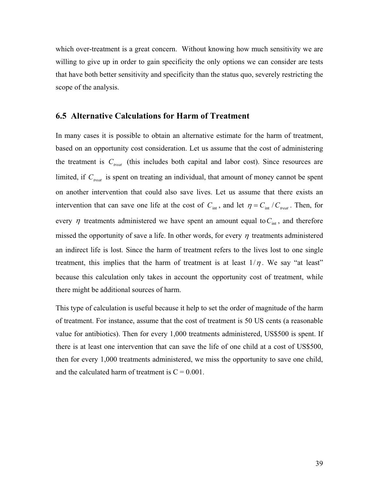which over-treatment is a great concern. Without knowing how much sensitivity we are willing to give up in order to gain specificity the only options we can consider are tests that have both better sensitivity and specificity than the status quo, severely restricting the scope of the analysis.

#### **6.5 Alternative Calculations for Harm of Treatment**

In many cases it is possible to obtain an alternative estimate for the harm of treatment, based on an opportunity cost consideration. Let us assume that the cost of administering the treatment is  $C_{\text{treat}}$  (this includes both capital and labor cost). Since resources are limited, if  $C_{\text{treat}}$  is spent on treating an individual, that amount of money cannot be spent on another intervention that could also save lives. Let us assume that there exists an intervention that can save one life at the cost of  $C_{\text{int}}$ , and let  $\eta = C_{\text{int}} / C_{\text{treat}}$ . Then, for every  $\eta$  treatments administered we have spent an amount equal to  $C<sub>int</sub>$ , and therefore missed the opportunity of save a life. In other words, for every  $\eta$  treatments administered an indirect life is lost. Since the harm of treatment refers to the lives lost to one single treatment, this implies that the harm of treatment is at least  $1/\eta$ . We say "at least" because this calculation only takes in account the opportunity cost of treatment, while there might be additional sources of harm.

This type of calculation is useful because it help to set the order of magnitude of the harm of treatment. For instance, assume that the cost of treatment is 50 US cents (a reasonable value for antibiotics). Then for every 1,000 treatments administered, US\$500 is spent. If there is at least one intervention that can save the life of one child at a cost of US\$500, then for every 1,000 treatments administered, we miss the opportunity to save one child, and the calculated harm of treatment is  $C = 0.001$ .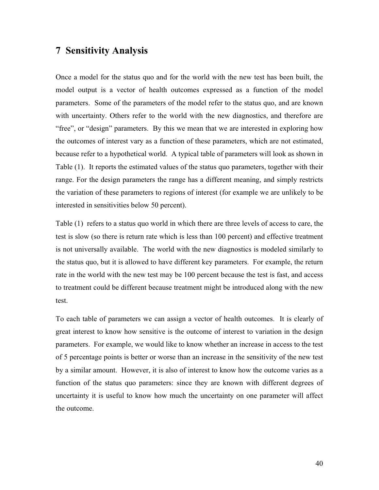# **7 Sensitivity Analysis**

Once a model for the status quo and for the world with the new test has been built, the model output is a vector of health outcomes expressed as a function of the model parameters. Some of the parameters of the model refer to the status quo, and are known with uncertainty. Others refer to the world with the new diagnostics, and therefore are "free", or "design" parameters. By this we mean that we are interested in exploring how the outcomes of interest vary as a function of these parameters, which are not estimated, because refer to a hypothetical world. A typical table of parameters will look as shown in Table (1). It reports the estimated values of the status quo parameters, together with their range. For the design parameters the range has a different meaning, and simply restricts the variation of these parameters to regions of interest (for example we are unlikely to be interested in sensitivities below 50 percent).

Table (1) refers to a status quo world in which there are three levels of access to care, the test is slow (so there is return rate which is less than 100 percent) and effective treatment is not universally available. The world with the new diagnostics is modeled similarly to the status quo, but it is allowed to have different key parameters. For example, the return rate in the world with the new test may be 100 percent because the test is fast, and access to treatment could be different because treatment might be introduced along with the new test.

To each table of parameters we can assign a vector of health outcomes. It is clearly of great interest to know how sensitive is the outcome of interest to variation in the design parameters. For example, we would like to know whether an increase in access to the test of 5 percentage points is better or worse than an increase in the sensitivity of the new test by a similar amount. However, it is also of interest to know how the outcome varies as a function of the status quo parameters: since they are known with different degrees of uncertainty it is useful to know how much the uncertainty on one parameter will affect the outcome.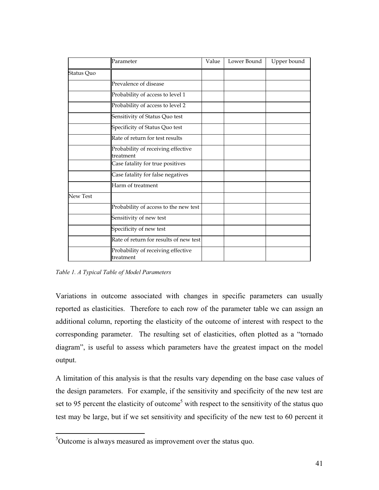|            | Parameter                                        | Value | Lower Bound | Upper bound |
|------------|--------------------------------------------------|-------|-------------|-------------|
| Status Quo |                                                  |       |             |             |
|            | Prevalence of disease                            |       |             |             |
|            | Probability of access to level 1                 |       |             |             |
|            | Probability of access to level 2                 |       |             |             |
|            | Sensitivity of Status Quo test                   |       |             |             |
|            | Specificity of Status Quo test                   |       |             |             |
|            | Rate of return for test results                  |       |             |             |
|            | Probability of receiving effective<br>ltreatment |       |             |             |
|            | Case fatality for true positives                 |       |             |             |
|            | Case fatality for false negatives                |       |             |             |
|            | Harm of treatment                                |       |             |             |
| New Test   |                                                  |       |             |             |
|            | Probability of access to the new test            |       |             |             |
|            | Sensitivity of new test                          |       |             |             |
|            | Specificity of new test                          |       |             |             |
|            | Rate of return for results of new test           |       |             |             |
|            | Probability of receiving effective<br>ltreatment |       |             |             |

*Table 1. A Typical Table of Model Parameters* 

Variations in outcome associated with changes in specific parameters can usually reported as elasticities. Therefore to each row of the parameter table we can assign an additional column, reporting the elasticity of the outcome of interest with respect to the corresponding parameter. The resulting set of elasticities, often plotted as a "tornado diagram", is useful to assess which parameters have the greatest impact on the model output.

A limitation of this analysis is that the results vary depending on the base case values of the design parameters. For example, if the sensitivity and specificity of the new test are set to 95 percent the elasticity of outcome<sup>5</sup> with respect to the sensitivity of the status quo test may be large, but if we set sensitivity and specificity of the new test to 60 percent it

<sup>&</sup>lt;sup>5</sup>Outcome is always measured as improvement over the status quo.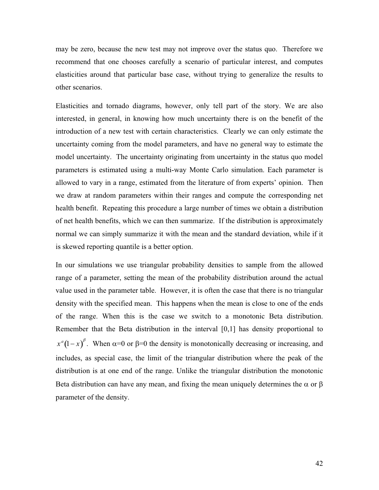may be zero, because the new test may not improve over the status quo. Therefore we recommend that one chooses carefully a scenario of particular interest, and computes elasticities around that particular base case, without trying to generalize the results to other scenarios.

Elasticities and tornado diagrams, however, only tell part of the story. We are also interested, in general, in knowing how much uncertainty there is on the benefit of the introduction of a new test with certain characteristics. Clearly we can only estimate the uncertainty coming from the model parameters, and have no general way to estimate the model uncertainty. The uncertainty originating from uncertainty in the status quo model parameters is estimated using a multi-way Monte Carlo simulation. Each parameter is allowed to vary in a range, estimated from the literature of from experts' opinion. Then we draw at random parameters within their ranges and compute the corresponding net health benefit. Repeating this procedure a large number of times we obtain a distribution of net health benefits, which we can then summarize. If the distribution is approximately normal we can simply summarize it with the mean and the standard deviation, while if it is skewed reporting quantile is a better option.

In our simulations we use triangular probability densities to sample from the allowed range of a parameter, setting the mean of the probability distribution around the actual value used in the parameter table. However, it is often the case that there is no triangular density with the specified mean. This happens when the mean is close to one of the ends of the range. When this is the case we switch to a monotonic Beta distribution. Remember that the Beta distribution in the interval [0,1] has density proportional to  $x^a(1-x)$ <sup> $\beta$ </sup>. When  $\alpha=0$  or  $\beta=0$  the density is monotonically decreasing or increasing, and includes, as special case, the limit of the triangular distribution where the peak of the distribution is at one end of the range. Unlike the triangular distribution the monotonic Beta distribution can have any mean, and fixing the mean uniquely determines the  $\alpha$  or  $\beta$ parameter of the density.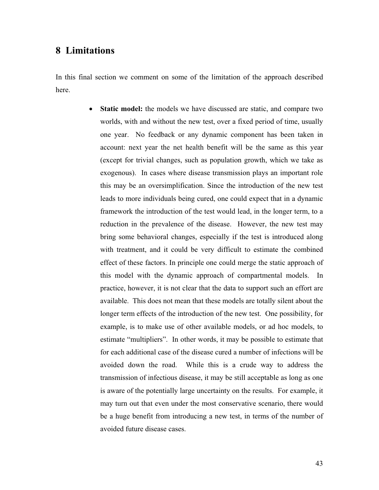# **8 Limitations**

In this final section we comment on some of the limitation of the approach described here.

> • Static model: the models we have discussed are static, and compare two worlds, with and without the new test, over a fixed period of time, usually one year. No feedback or any dynamic component has been taken in account: next year the net health benefit will be the same as this year (except for trivial changes, such as population growth, which we take as exogenous). In cases where disease transmission plays an important role this may be an oversimplification. Since the introduction of the new test leads to more individuals being cured, one could expect that in a dynamic framework the introduction of the test would lead, in the longer term, to a reduction in the prevalence of the disease. However, the new test may bring some behavioral changes, especially if the test is introduced along with treatment, and it could be very difficult to estimate the combined effect of these factors. In principle one could merge the static approach of this model with the dynamic approach of compartmental models. In practice, however, it is not clear that the data to support such an effort are available. This does not mean that these models are totally silent about the longer term effects of the introduction of the new test. One possibility, for example, is to make use of other available models, or ad hoc models, to estimate "multipliers". In other words, it may be possible to estimate that for each additional case of the disease cured a number of infections will be avoided down the road. While this is a crude way to address the transmission of infectious disease, it may be still acceptable as long as one is aware of the potentially large uncertainty on the results. For example, it may turn out that even under the most conservative scenario, there would be a huge benefit from introducing a new test, in terms of the number of avoided future disease cases.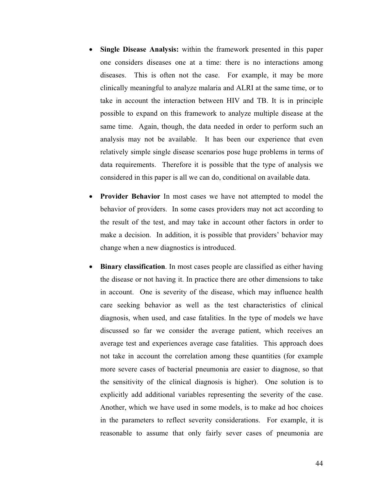- **Single Disease Analysis:** within the framework presented in this paper one considers diseases one at a time: there is no interactions among diseases. This is often not the case. For example, it may be more clinically meaningful to analyze malaria and ALRI at the same time, or to take in account the interaction between HIV and TB. It is in principle possible to expand on this framework to analyze multiple disease at the same time. Again, though, the data needed in order to perform such an analysis may not be available. It has been our experience that even relatively simple single disease scenarios pose huge problems in terms of data requirements. Therefore it is possible that the type of analysis we considered in this paper is all we can do, conditional on available data.
- **Provider Behavior** In most cases we have not attempted to model the behavior of providers. In some cases providers may not act according to the result of the test, and may take in account other factors in order to make a decision. In addition, it is possible that providers' behavior may change when a new diagnostics is introduced.
- **Binary classification**. In most cases people are classified as either having the disease or not having it. In practice there are other dimensions to take in account. One is severity of the disease, which may influence health care seeking behavior as well as the test characteristics of clinical diagnosis, when used, and case fatalities. In the type of models we have discussed so far we consider the average patient, which receives an average test and experiences average case fatalities. This approach does not take in account the correlation among these quantities (for example more severe cases of bacterial pneumonia are easier to diagnose, so that the sensitivity of the clinical diagnosis is higher). One solution is to explicitly add additional variables representing the severity of the case. Another, which we have used in some models, is to make ad hoc choices in the parameters to reflect severity considerations. For example, it is reasonable to assume that only fairly sever cases of pneumonia are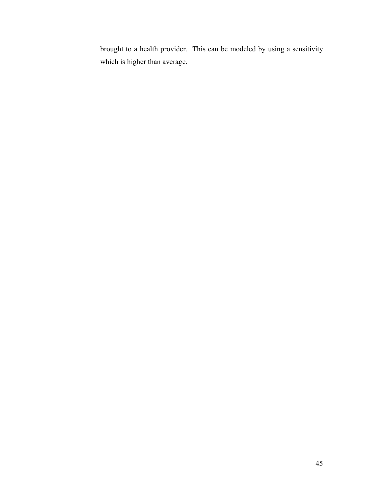brought to a health provider. This can be modeled by using a sensitivity which is higher than average.